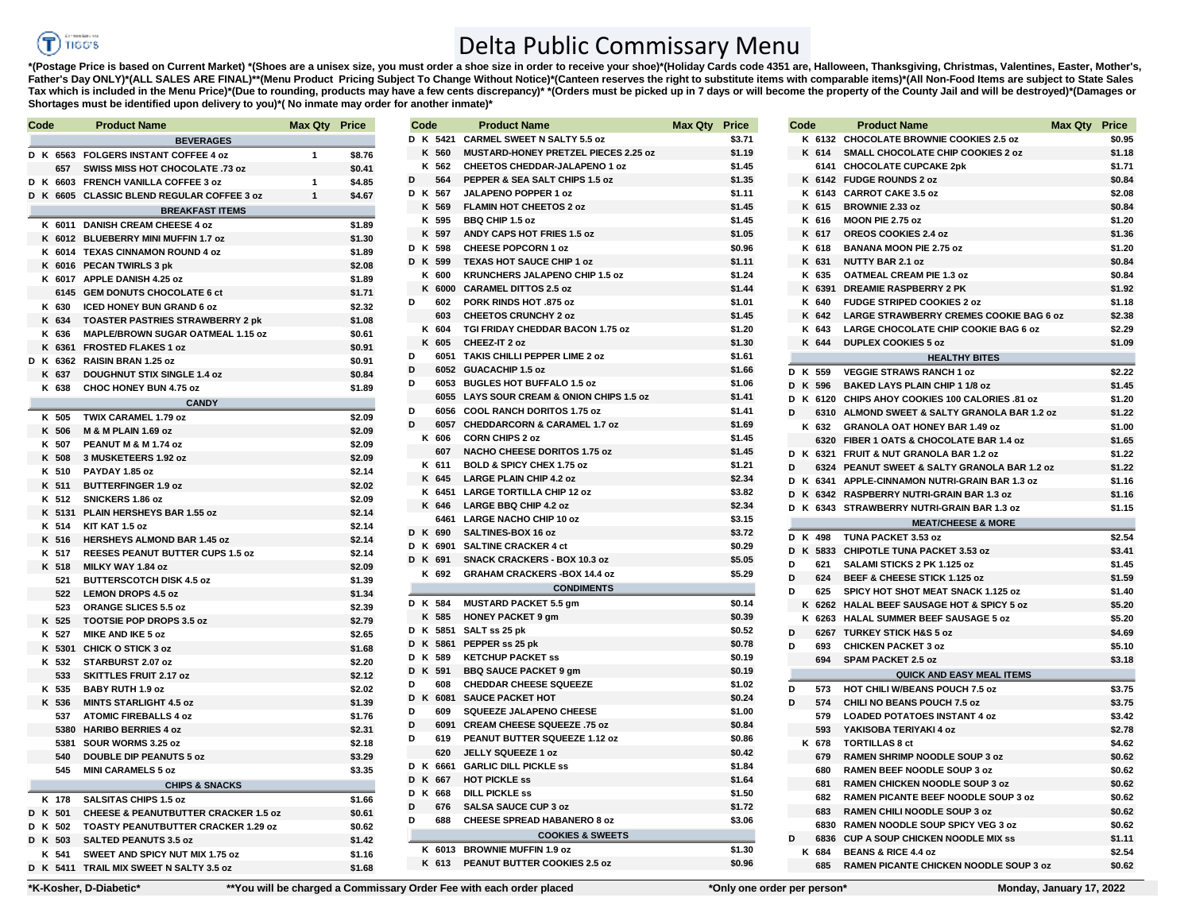## **TIGG'S** (T

## Delta Public Commissary Menu

\*(Postage Price is based on Current Market) \*(Shoes are a unisex size, you must order a shoe size in order to receive your shoe)\*(Holiday Cards code 4351 are, Halloween, Thanksgiving, Christmas, Valentines, Easter, Mother' **Father's Day ONLY)\*(ALL SALES ARE FINAL)\*\*(Menu Product Pricing Subject To Change Without Notice)\*(Canteen reserves the right to substitute items with comparable items)\*(All Non-Food Items are subject to State Sales**  Tax which is included in the Menu Price)\*(Due to rounding, products may have a few cents discrepancy)\* \*(Orders must be picked up in 7 days or will become the property of the County Jail and will be destroyed)\*(Damages or **Shortages must be identified upon delivery to you)\*( No inmate may order for another inmate)\*** 

| Code |          | <b>Product Name</b>                             | Max Qty Price  |        | Code      | <b>Product Name</b>                         | Max Qty Price |        | Code     | Product Name                                                                     | Max Qty | Price          |
|------|----------|-------------------------------------------------|----------------|--------|-----------|---------------------------------------------|---------------|--------|----------|----------------------------------------------------------------------------------|---------|----------------|
|      |          | <b>BEVERAGES</b>                                |                |        | D K 5421  | <b>CARMEL SWEET N SALTY 5.5 oz</b>          |               | \$3.71 |          | K 6132 CHOCOLATE BROWNIE COOKIES 2.5 oz                                          |         | \$0.9          |
|      |          | D K 6563 FOLGERS INSTANT COFFEE 4 oz            | $\mathbf{1}$   | \$8.76 | K 560     | <b>MUSTARD-HONEY PRETZEL PIECES 2.25 oz</b> |               | \$1.19 |          | K 614 SMALL CHOCOLATE CHIP COOKIES 2 oz                                          |         | \$1.1          |
|      | 657      | SWISS MISS HOT CHOCOLATE .73 oz                 |                | \$0.41 | K 562     | CHEETOS CHEDDAR-JALAPENO 1 oz               |               | \$1.45 |          | 6141 CHOCOLATE CUPCAKE 2pk                                                       |         | \$1.1          |
|      |          | D K 6603 FRENCH VANILLA COFFEE 3 oz             | $\overline{1}$ | \$4.85 | D<br>564  | PEPPER & SEA SALT CHIPS 1.5 oz              |               | \$1.35 |          | K 6142 FUDGE ROUNDS 2 oz                                                         |         | \$0.8          |
|      |          | D K 6605 CLASSIC BLEND REGULAR COFFEE 3 oz      | $\mathbf{1}$   | \$4.67 | D K 567   | <b>JALAPENO POPPER 1 oz</b>                 |               | \$1.11 |          | K 6143 CARROT CAKE 3.5 oz                                                        |         | \$2.0          |
|      |          | <b>BREAKFAST ITEMS</b>                          |                |        | K 569     | FLAMIN HOT CHEETOS 2 oz                     |               | \$1.45 | K 615    | <b>BROWNIE 2.33 oz</b>                                                           |         | \$0.8          |
|      |          | K 6011 DANISH CREAM CHEESE 4 oz                 |                | \$1.89 | K 595     | <b>BBQ CHIP 1.5 oz</b>                      |               | \$1.45 | K 616    | MOON PIE 2.75 oz                                                                 |         | \$1.2          |
|      |          | K 6012 BLUEBERRY MINI MUFFIN 1.7 oz             |                | \$1.30 | K 597     | ANDY CAPS HOT FRIES 1.5 oz                  |               | \$1.05 | K 617    | <b>OREOS COOKIES 2.4 oz</b>                                                      |         | \$1.3          |
|      |          | K 6014 TEXAS CINNAMON ROUND 4 oz                |                | \$1.89 | D K 598   | <b>CHEESE POPCORN 1 oz</b>                  |               | \$0.96 | K 618    | <b>BANANA MOON PIE 2.75 oz</b>                                                   |         | \$1.2          |
|      |          | K 6016 PECAN TWIRLS 3 pk                        |                | \$2.08 | D K 599   | <b>TEXAS HOT SAUCE CHIP 1 oz</b>            |               | \$1.11 | K 631    | <b>NUTTY BAR 2.1 oz</b>                                                          |         | \$0.8          |
|      |          | K 6017 APPLE DANISH 4.25 oz                     |                | \$1.89 | K 600     | KRUNCHERS JALAPENO CHIP 1.5 oz              |               | \$1.24 | K 635    | <b>OATMEAL CREAM PIE 1.3 oz</b>                                                  |         | \$0.8          |
|      |          | 6145 GEM DONUTS CHOCOLATE 6 ct                  |                | \$1.71 | K 6000    | <b>CARAMEL DITTOS 2.5 oz</b>                |               | \$1.44 |          | K 6391 DREAMIE RASPBERRY 2 PK                                                    |         | \$1.9          |
|      | K 630    | <b>ICED HONEY BUN GRAND 6 oz</b>                |                | \$2.32 | D<br>602  | PORK RINDS HOT .875 oz                      |               | \$1.01 | K 640    | <b>FUDGE STRIPED COOKIES 2 oz</b>                                                |         | \$1.1          |
|      | K 634    | <b>TOASTER PASTRIES STRAWBERRY 2 pk</b>         |                | \$1.08 | 603       | <b>CHEETOS CRUNCHY 2 oz</b>                 |               | \$1.45 | K 642    | <b>LARGE STRAWBERRY CREMES COOKIE BAG 6 oz</b>                                   |         | \$2.3          |
|      | K 636    | MAPLE/BROWN SUGAR OATMEAL 1.15 oz               |                | \$0.61 | K 604     | TGI FRIDAY CHEDDAR BACON 1.75 oz            |               | \$1.20 | K 643    | LARGE CHOCOLATE CHIP COOKIE BAG 6 oz                                             |         | \$2.2          |
|      |          | K 6361 FROSTED FLAKES 1 oz                      |                | \$0.91 | K 605     | CHEEZ-IT 2 oz                               |               | \$1.30 | K 644    | <b>DUPLEX COOKIES 5 oz</b>                                                       |         | \$1.0          |
|      | D K 6362 | RAISIN BRAN 1.25 oz                             |                | \$0.91 | D<br>6051 | TAKIS CHILLI PEPPER LIME 2 oz               |               | \$1.61 |          | <b>HEALTHY BITES</b>                                                             |         |                |
|      | K 637    | <b>DOUGHNUT STIX SINGLE 1.4 oz</b>              |                | \$0.84 | D         | 6052 GUACACHIP 1.5 oz                       |               | \$1.66 | D K 559  | <b>VEGGIE STRAWS RANCH 1 oz</b>                                                  |         | \$2.2          |
|      | K 638    | <b>CHOC HONEY BUN 4.75 oz</b>                   |                | \$1.89 | D         | 6053 BUGLES HOT BUFFALO 1.5 oz              |               | \$1.06 | D K 596  | BAKED LAYS PLAIN CHIP 1 1/8 oz                                                   |         | \$1.4          |
|      |          |                                                 |                |        |           | 6055 LAYS SOUR CREAM & ONION CHIPS 1.5 oz   |               | \$1.41 |          | D K 6120 CHIPS AHOY COOKIES 100 CALORIES .81 oz                                  |         | \$1.2          |
|      |          | <b>CANDY</b>                                    |                |        | D         | 6056 COOL RANCH DORITOS 1.75 oz             |               | \$1.41 | D        | 6310 ALMOND SWEET & SALTY GRANOLA BAR 1.2 oz                                     |         | \$1.2          |
|      | K 505    | TWIX CARAMEL 1.79 oz                            |                | \$2.09 | D<br>6057 | <b>CHEDDARCORN &amp; CARAMEL 1.7 oz</b>     |               | \$1.69 | K 632    | <b>GRANOLA OAT HONEY BAR 1.49 oz</b>                                             |         | \$1.0          |
|      | K 506    | M & M PLAIN 1.69 oz                             |                | \$2.09 | K 606     | <b>CORN CHIPS 2 oz</b>                      |               | \$1.45 |          | 6320 FIBER 1 OATS & CHOCOLATE BAR 1.4 oz                                         |         | \$1.0          |
|      | K 507    | PEANUT M & M 1.74 oz                            |                | \$2.09 | 607       | <b>NACHO CHEESE DORITOS 1.75 oz</b>         |               | \$1.45 |          | D K 6321 FRUIT & NUT GRANOLA BAR 1.2 oz                                          |         | \$1.2          |
|      | K 508    | 3 MUSKETEERS 1.92 oz                            |                | \$2.09 | K 611     | BOLD & SPICY CHEX 1.75 oz                   |               | \$1.21 | D        | 6324 PEANUT SWEET & SALTY GRANOLA BAR 1.2 oz                                     |         | \$1.2          |
|      | K 510    | PAYDAY 1.85 oz                                  |                | \$2.14 | K 645     | <b>LARGE PLAIN CHIP 4.2 oz</b>              |               | \$2.34 | D K      | 6341 APPLE-CINNAMON NUTRI-GRAIN BAR 1.3 oz                                       |         | \$1.7          |
|      | K 511    | <b>BUTTERFINGER 1.9 oz</b>                      |                | \$2.02 |           | K 6451 LARGE TORTILLA CHIP 12 oz            |               | \$3.82 |          | D K 6342 RASPBERRY NUTRI-GRAIN BAR 1.3 oz                                        |         | \$1.1          |
|      | K 512    | SNICKERS 1.86 oz                                |                | \$2.09 | K 646     | LARGE BBQ CHIP 4.2 oz                       |               | \$2.34 |          | D K 6343 STRAWBERRY NUTRI-GRAIN BAR 1.3 oz                                       |         | \$1.7          |
|      |          | K 5131 PLAIN HERSHEYS BAR 1.55 oz               |                | \$2.14 | 6461      | <b>LARGE NACHO CHIP 10 oz</b>               |               | \$3.15 |          | <b>MEAT/CHEESE &amp; MORE</b>                                                    |         |                |
|      | K 514    | KIT KAT 1.5 oz                                  |                | \$2.14 | D K 690   | SALTINES-BOX 16 oz                          |               | \$3.72 | D K 498  | TUNA PACKET 3.53 oz                                                              |         | \$2.5          |
|      | K 516    | HERSHEYS ALMOND BAR 1.45 oz                     |                | \$2.14 | D K 6901  | <b>SALTINE CRACKER 4 ct</b>                 |               | \$0.29 |          | D K 5833 CHIPOTLE TUNA PACKET 3.53 oz                                            |         | \$3.4          |
|      | K 517    | REESES PEANUT BUTTER CUPS 1.5 oz                |                | \$2.14 | D K 691   | <b>SNACK CRACKERS - BOX 10.3 oz</b>         |               | \$5.05 | D<br>621 | SALAMI STICKS 2 PK 1.125 oz                                                      |         | \$1.4          |
|      | K 518    | MILKY WAY 1.84 oz                               |                | \$2.09 | K 692     | <b>GRAHAM CRACKERS -BOX 14.4 oz</b>         |               | \$5.29 | D<br>624 |                                                                                  |         | \$1.5          |
|      | 521      | <b>BUTTERSCOTCH DISK 4.5 oz</b>                 |                | \$1.39 |           | <b>CONDIMENTS</b>                           |               |        | D<br>625 | BEEF & CHEESE STICK 1.125 oz                                                     |         |                |
|      |          | 522 LEMON DROPS 4.5 oz                          |                | \$1.34 | D K 584   | <b>MUSTARD PACKET 5.5 gm</b>                |               | \$0.14 |          | SPICY HOT SHOT MEAT SNACK 1.125 oz<br>K 6262 HALAL BEEF SAUSAGE HOT & SPICY 5 oz |         | \$1.4<br>\$5.2 |
|      | 523      | ORANGE SLICES 5.5 oz                            |                | \$2.39 | K 585     | <b>HONEY PACKET 9 gm</b>                    |               | \$0.39 |          |                                                                                  |         | \$5.2          |
|      | K 525    | <b>TOOTSIE POP DROPS 3.5 oz</b>                 |                | \$2.79 |           | D K 5851 SALT ss 25 pk                      |               | \$0.52 | D        | K 6263 HALAL SUMMER BEEF SAUSAGE 5 oz<br>6267 TURKEY STICK H&S 5 oz              |         | \$4.0          |
|      | K 527    | <b>MIKE AND IKE 5 oz</b>                        |                | \$2.65 | D K 5861  | PEPPER ss 25 pk                             |               | \$0.78 | D<br>693 | <b>CHICKEN PACKET 3 oz</b>                                                       |         | \$5.1          |
|      |          | K 5301 CHICK O STICK 3 oz                       |                | \$1.68 | D K 589   | <b>KETCHUP PACKET SS</b>                    |               | \$0.19 | 694      | <b>SPAM PACKET 2.5 oz</b>                                                        |         | \$3.1          |
|      | K 532    | STARBURST 2.07 oz                               |                | \$2.20 | D K 591   | <b>BBQ SAUCE PACKET 9 gm</b>                |               | \$0.19 |          |                                                                                  |         |                |
|      | 533      | <b>SKITTLES FRUIT 2.17 oz</b>                   |                | \$2.12 | D<br>608  | <b>CHEDDAR CHEESE SQUEEZE</b>               |               | \$1.02 |          | <b>QUICK AND EASY MEAL ITEMS</b>                                                 |         |                |
|      | K 535    | BABY RUTH 1.9 oz                                |                | \$2.02 | D K 6081  | <b>SAUCE PACKET HOT</b>                     |               | \$0.24 | D<br>573 | <b>HOT CHILI W/BEANS POUCH 7.5 oz</b>                                            |         | \$3.7          |
|      | K 536    | <b>MINTS STARLIGHT 4.5 oz</b>                   |                | \$1.39 | D<br>609  | SQUEEZE JALAPENO CHEESE                     |               | \$1.00 | D<br>574 | CHILI NO BEANS POUCH 7.5 oz                                                      |         | \$3.7          |
|      | 537      | <b>ATOMIC FIREBALLS 4 oz</b>                    |                | \$1.76 | D<br>6091 | CREAM CHEESE SQUEEZE .75 oz                 |               | \$0.84 | 579      | <b>LOADED POTATOES INSTANT 4 oz</b>                                              |         | \$3.4          |
|      |          | 5380 HARIBO BERRIES 4 oz                        |                | \$2.31 | D<br>619  | PEANUT BUTTER SQUEEZE 1.12 oz               |               | \$0.86 | 593      | YAKISOBA TERIYAKI 4 oz                                                           |         | \$2.7          |
|      | 5381     | SOUR WORMS 3.25 oz                              |                | \$2.18 | 620       | JELLY SQUEEZE 1 oz                          |               | \$0.42 | K 678    | <b>TORTILLAS 8 ct</b>                                                            |         | \$4.0          |
|      | 540      | <b>DOUBLE DIP PEANUTS 5 oz</b>                  |                | \$3.29 | D K 6661  | <b>GARLIC DILL PICKLE SS</b>                |               | \$1.84 | 679      | RAMEN SHRIMP NOODLE SOUP 3 oz                                                    |         | \$0.6          |
|      | 545      | <b>MINI CARAMELS 5 oz</b>                       |                | \$3.35 | D K 667   | <b>HOT PICKLE SS</b>                        |               | \$1.64 | 680      | RAMEN BEEF NOODLE SOUP 3 oz                                                      |         | \$0.0          |
|      |          | <b>CHIPS &amp; SNACKS</b>                       |                |        | D K 668   | <b>DILL PICKLE SS</b>                       |               | \$1.50 | 681      | RAMEN CHICKEN NOODLE SOUP 3 oz                                                   |         | \$0.6          |
|      | K 178    | <b>SALSITAS CHIPS 1.5 oz</b>                    |                | \$1.66 | D<br>676  | <b>SALSA SAUCE CUP 3 oz</b>                 |               | \$1.72 | 682      | RAMEN PICANTE BEEF NOODLE SOUP 3 oz                                              |         | \$0.6          |
|      | D K 501  | <b>CHEESE &amp; PEANUTBUTTER CRACKER 1.5 oz</b> |                | \$0.61 | D<br>688  | <b>CHEESE SPREAD HABANERO 8 oz</b>          |               | \$3.06 | 683      | RAMEN CHILI NOODLE SOUP 3 oz                                                     |         | \$0.6          |
|      | D K 502  | TOASTY PEANUTBUTTER CRACKER 1.29 oz             |                | \$0.62 |           |                                             |               |        |          | 6830 RAMEN NOODLE SOUP SPICY VEG 3 oz                                            |         | \$0.0          |
|      | D K 503  | <b>SALTED PEANUTS 3.5 oz</b>                    |                | \$1.42 |           | <b>COOKIES &amp; SWEETS</b>                 |               |        | D        | <b>CUP A SOUP CHICKEN NOODLE MIX SS</b><br>6836                                  |         | \$1.7          |
|      | K 541    | SWEET AND SPICY NUT MIX 1.75 oz                 |                | \$1.16 |           | K 6013 BROWNIE MUFFIN 1.9 oz                |               | \$1.30 | K 684    | <b>BEANS &amp; RICE 4.4 oz</b>                                                   |         | \$2.5          |
|      |          | D K 5411 TRAIL MIX SWEET N SALTY 3.5 oz         |                | \$1.68 |           | K 613 PEANUT BUTTER COOKIES 2.5 oz          |               | \$0.96 | 685      | <b>RAMEN PICANTE CHICKEN NOODLE SOUP 3 oz</b>                                    |         | \$0.6          |

|   | Code |          | <b>Product Name</b>                       | <b>Max Qty</b> | <b>Price</b> |
|---|------|----------|-------------------------------------------|----------------|--------------|
|   |      | D K 5421 | <b>CARMEL SWEET N SALTY 5.5 oz</b>        |                | \$3.71       |
|   |      | K 560    | MUSTARD-HONEY PRETZEL PIECES 2.25 oz      |                | \$1.19       |
|   |      | K 562    | CHEETOS CHEDDAR-JALAPENO 1 oz             |                | \$1.45       |
| D |      | 564      | PEPPER & SEA SALT CHIPS 1.5 oz            |                | \$1.35       |
| D |      | K 567    | <b>JALAPENO POPPER 1 oz</b>               |                | \$1.11       |
|   |      | K 569    | <b>FLAMIN HOT CHEETOS 2 oz</b>            |                | \$1.45       |
|   |      | K 595    | <b>BBQ CHIP 1.5 oz</b>                    |                | \$1.45       |
|   |      | K 597    | ANDY CAPS HOT FRIES 1.5 oz                |                | \$1.05       |
| D |      | K 598    | <b>CHEESE POPCORN 1 oz</b>                |                | \$0.96       |
| D |      | K 599    | TEXAS HOT SAUCE CHIP 1 oz                 |                | \$1.11       |
|   | κ    | 600      | <b>KRUNCHERS JALAPENO CHIP 1.5 oz</b>     |                | \$1.24       |
|   |      |          | K 6000 CARAMEL DITTOS 2.5 oz              |                | \$1.44       |
| D |      | 602      | PORK RINDS HOT .875 oz                    |                | \$1.01       |
|   |      | 603      | <b>CHEETOS CRUNCHY 2 oz</b>               |                | \$1.45       |
|   |      | K 604    | TGI FRIDAY CHEDDAR BACON 1.75 oz          |                | \$1.20       |
|   |      | K 605    | CHEEZ-IT 2 oz                             |                | \$1.30       |
| D |      | 6051     | TAKIS CHILLI PEPPER LIME 2 oz             |                | \$1.61       |
| D |      |          | 6052 GUACACHIP 1.5 oz                     |                | \$1.66       |
| D |      | 6053     | <b>BUGLES HOT BUFFALO 1.5 oz</b>          |                | \$1.06       |
|   |      |          | 6055 LAYS SOUR CREAM & ONION CHIPS 1.5 oz |                | \$1.41       |
| D |      | 6056     | <b>COOL RANCH DORITOS 1.75 oz</b>         |                | \$1.41       |
| D |      | 6057     | <b>CHEDDARCORN &amp; CARAMEL 1.7 oz</b>   |                | \$1.69       |
|   |      | K 606    | <b>CORN CHIPS 2 oz</b>                    |                | \$1.45       |
|   |      | 607      | NACHO CHEESE DORITOS 1.75 oz              |                | \$1.45       |
|   |      | K 611    | BOLD & SPICY CHEX 1.75 oz                 |                | \$1.21       |
|   |      | K 645    | <b>LARGE PLAIN CHIP 4.2 oz</b>            |                | \$2.34       |
|   |      |          | K 6451 LARGE TORTILLA CHIP 12 oz          |                | \$3.82       |
|   |      | K 646    | LARGE BBQ CHIP 4.2 oz                     |                | \$2.34       |
|   |      | 6461     | <b>LARGE NACHO CHIP 10 oz</b>             |                | \$3.15       |
| D |      | K 690    | SALTINES-BOX 16 oz                        |                | \$3.72       |
| D |      | K 6901   | <b>SALTINE CRACKER 4 ct</b>               |                | \$0.29       |
|   |      | D K 691  | <b>SNACK CRACKERS - BOX 10.3 oz</b>       |                | \$5.05       |
|   |      | K 692    | <b>GRAHAM CRACKERS - BOX 14.4 oz</b>      |                | \$5.29       |
|   |      |          | <b>CONDIMENTS</b>                         |                |              |
| D | κ    | 584      | <b>MUSTARD PACKET 5.5 gm</b>              |                | \$0.14       |
|   |      | K 585    | <b>HONEY PACKET 9 gm</b>                  |                | \$0.39       |
| D |      | K 5851   | SALT ss 25 pk                             |                | \$0.52       |
| D |      | K 5861   | PEPPER ss 25 pk                           |                | \$0.78       |
| D |      | K 589    | <b>KETCHUP PACKET SS</b>                  |                | \$0.19       |
| D |      | K 591    | <b>BBQ SAUCE PACKET 9 gm</b>              |                | \$0.19       |
| D |      | 608      | <b>CHEDDAR CHEESE SQUEEZE</b>             |                | \$1.02       |
| D |      | K 6081   | <b>SAUCE PACKET HOT</b>                   |                | \$0.24       |
| D |      | 609      | SQUEEZE JALAPENO CHEESE                   |                | \$1.00       |
| D |      | 6091     | CREAM CHEESE SQUEEZE .75 oz               |                | \$0.84       |
| D |      | 619      | PEANUT BUTTER SQUEEZE 1.12 oz             |                | \$0.86       |
|   |      | 620      | JELLY SQUEEZE 1 oz                        |                | \$0.42       |
| D |      | K 6661   | <b>GARLIC DILL PICKLE SS</b>              |                | \$1.84       |
| D | κ    | 667      | <b>HOT PICKLE ss</b>                      |                | \$1.64       |
| D |      | K 668    | <b>DILL PICKLE SS</b>                     |                | \$1.50       |
| D |      | 676      | SALSA SAUCE CUP 3 oz                      |                | \$1.72       |
| D |      | 688      | <b>CHEESE SPREAD HABANERO 8 oz</b>        |                | \$3.06       |
|   |      |          | <b>COOKIES &amp; SWEETS</b>               |                |              |
|   |      | K 6013   | <b>BROWNIE MUFFIN 1.9 oz</b>              |                | \$1.30       |
|   |      | K 613    | PEANUT BUTTER COOKIES 2.5 oz              |                | \$0.96       |
|   |      |          |                                           |                |              |

|   | Code |               | <b>Product Name</b><br>Max Qty                                   | <b>Price</b> |
|---|------|---------------|------------------------------------------------------------------|--------------|
|   |      |               | K 6132 CHOCOLATE BROWNIE COOKIES 2.5 oz                          | \$0.95       |
|   |      | K 614<br>6141 | SMALL CHOCOLATE CHIP COOKIES 2 oz                                | \$1.18       |
|   |      |               | <b>CHOCOLATE CUPCAKE 2pk</b>                                     | \$1.71       |
|   |      | K 6142        | <b>FUDGE ROUNDS 2 oz</b>                                         | \$0.84       |
|   |      | K 615         | K 6143 CARROT CAKE 3.5 oz<br><b>BROWNIE 2.33 oz</b>              | \$2.08       |
|   |      | K 616         |                                                                  | \$0.84       |
|   |      |               | MOON PIE 2.75 oz                                                 | \$1.20       |
|   |      | K 617         | OREOS COOKIES 2.4 oz                                             | \$1.36       |
|   |      | K 618         | <b>BANANA MOON PIE 2.75 oz</b>                                   | \$1.20       |
|   |      | K 631         | <b>NUTTY BAR 2.1 oz</b>                                          | \$0.84       |
|   |      | K 635         | <b>OATMEAL CREAM PIE 1.3 oz</b><br><b>DREAMIE RASPBERRY 2 PK</b> | \$0.84       |
|   |      | K 6391        |                                                                  | \$1.92       |
|   |      | K 640         | <b>FUDGE STRIPED COOKIES 2 oz</b>                                | \$1.18       |
|   |      | K 642         | LARGE STRAWBERRY CREMES COOKIE BAG 6 oz                          | \$2.38       |
|   |      | K 643         | <b>LARGE CHOCOLATE CHIP COOKIE BAG 6 oz</b>                      | \$2.29       |
|   |      | K 644         | <b>DUPLEX COOKIES 5 oz</b>                                       | \$1.09       |
|   |      |               | <b>HEALTHY BITES</b>                                             |              |
| D |      | K 559         | <b>VEGGIE STRAWS RANCH 1 oz</b>                                  | \$2.22       |
| D |      | K 596         | <b>BAKED LAYS PLAIN CHIP 1 1/8 oz</b>                            | \$1.45       |
| D |      | K 6120        | CHIPS AHOY COOKIES 100 CALORIES .81 oz                           | \$1.20       |
| D |      | 6310          | ALMOND SWEET & SALTY GRANOLA BAR 1.2 oz                          | \$1.22       |
|   |      | K 632         | <b>GRANOLA OAT HONEY BAR 1.49 oz</b>                             | \$1.00       |
|   |      | 6320          | FIBER 1 OATS & CHOCOLATE BAR 1.4 oz                              | \$1.65       |
| D |      | K 6321        | FRUIT & NUT GRANOLA BAR 1.2 oz                                   | \$1.22       |
| D |      | 6324          | PEANUT SWEET & SALTY GRANOLA BAR 1.2 oz                          | \$1.22       |
| D |      | K 6341        | APPLE-CINNAMON NUTRI-GRAIN BAR 1.3 oz                            | \$1.16       |
| D |      | K 6342        | RASPBERRY NUTRI-GRAIN BAR 1.3 oz                                 | \$1.16       |
| D |      | K 6343        | STRAWBERRY NUTRI-GRAIN BAR 1.3 oz                                | \$1.15       |
|   |      |               | <b>MEAT/CHEESE &amp; MORE</b>                                    |              |
| D |      | K 498         | TUNA PACKET 3.53 oz                                              | \$2.54       |
| D |      | K 5833        | <b>CHIPOTLE TUNA PACKET 3.53 oz</b>                              | \$3.41       |
| D |      | 621           | SALAMI STICKS 2 PK 1.125 oz                                      | \$1.45       |
| D |      | 624           | BEEF & CHEESE STICK 1.125 oz                                     | \$1.59       |
| D |      | 625           | SPICY HOT SHOT MEAT SNACK 1.125 oz                               | \$1.40       |
|   |      | K 6262        | HALAL BEEF SAUSAGE HOT & SPICY 5 oz                              | \$5.20       |
|   |      | K 6263        | <b>HALAL SUMMER BEEF SAUSAGE 5 oz</b>                            | \$5.20       |
| D |      | 6267          | <b>TURKEY STICK H&amp;S 5 oz</b>                                 | \$4.69       |
| D |      | 693           | <b>CHICKEN PACKET 3 oz</b>                                       | \$5.10       |
|   |      | 694           | <b>SPAM PACKET 2.5 oz</b>                                        | \$3.18       |
|   |      |               | <b>QUICK AND EASY MEAL ITEMS</b>                                 |              |
| D |      | 573           | HOT CHILI W/BEANS POUCH 7.5 oz                                   | \$3.75       |
| D |      | 574           | CHILI NO BEANS POUCH 7.5 oz                                      | \$3.75       |
|   |      | 579           | <b>LOADED POTATOES INSTANT 4 oz</b>                              | \$3.42       |
|   |      | 593           | YAKISOBA TERIYAKI 4 oz                                           | \$2.78       |
|   |      | K 678         | <b>TORTILLAS 8 ct</b>                                            | \$4.62       |
|   |      | 679           | <b>RAMEN SHRIMP NOODLE SOUP 3 oz</b>                             | \$0.62       |
|   |      | 680           | RAMEN BEEF NOODLE SOUP 3 oz                                      | \$0.62       |
|   |      | 681           | RAMEN CHICKEN NOODLE SOUP 3 oz                                   | \$0.62       |
|   |      | 682           | <b>RAMEN PICANTE BEEF NOODLE SOUP 3 oz</b>                       | \$0.62       |
|   |      | 683           | <b>RAMEN CHILI NOODLE SOUP 3 oz</b>                              | \$0.62       |
|   |      | 6830          | <b>RAMEN NOODLE SOUP SPICY VEG 3 oz</b>                          | \$0.62       |
| D |      | 6836          | <b>CUP A SOUP CHICKEN NOODLE MIX SS</b>                          | \$1.11       |
|   |      | K 684         | <b>BEANS &amp; RICE 4.4 oz</b>                                   | \$2.54       |
|   |      | 685           | RAMEN PICANTE CHICKEN NOODLE SOUP 3 oz                           | \$0.62       |
|   |      |               |                                                                  |              |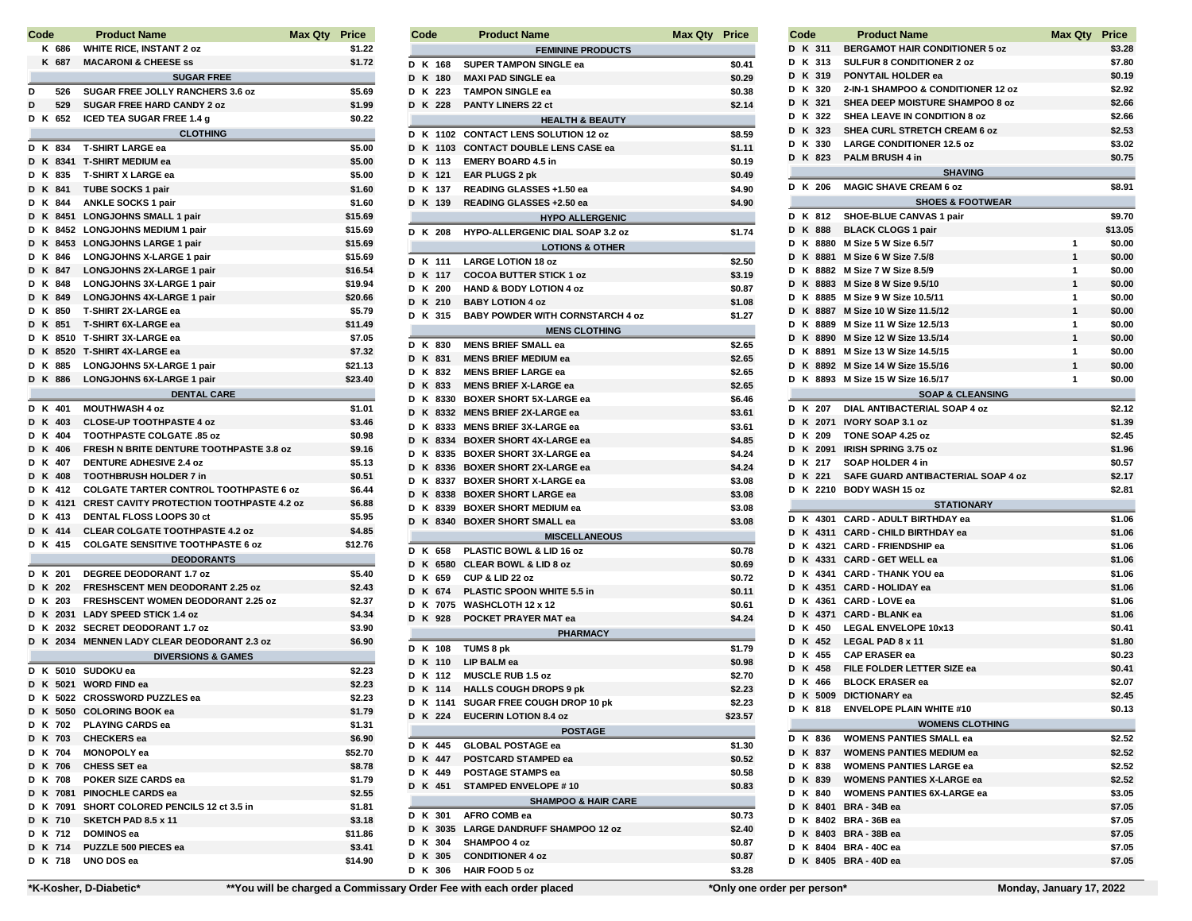|        | Code |                 | <b>Product Name</b>                                                                 | Max Qty | <b>Price</b>     |
|--------|------|-----------------|-------------------------------------------------------------------------------------|---------|------------------|
|        |      | K 686           | <b>WHITE RICE, INSTANT 2 oz</b>                                                     |         | \$1.22           |
|        |      | K 687           | <b>MACARONI &amp; CHEESE ss</b>                                                     |         | \$1.72           |
|        |      |                 | <b>SUGAR FREE</b>                                                                   |         |                  |
| D      |      | 526             | SUGAR FREE JOLLY RANCHERS 3.6 oz                                                    |         | \$5.69           |
| D      |      | 529             | <b>SUGAR FREE HARD CANDY 2 oz</b>                                                   |         | \$1.99           |
|        |      | D K 652         | <b>ICED TEA SUGAR FREE 1.4 g</b>                                                    |         | \$0.22           |
|        |      |                 | <b>CLOTHING</b>                                                                     |         |                  |
| D      |      | K 834           | <b>T-SHIRT LARGE ea</b>                                                             |         | \$5.00           |
| D      |      | K 8341          | <b>T-SHIRT MEDIUM ea</b>                                                            |         | \$5.00           |
|        |      | D K 835         | <b>T-SHIRT X LARGE ea</b>                                                           |         | \$5.00           |
| D      |      | K 841           | TUBE SOCKS 1 pair                                                                   |         | \$1.60           |
|        |      | D K 844         | <b>ANKLE SOCKS 1 pair</b>                                                           |         | \$1.60           |
| D      |      | K 8451          | <b>LONGJOHNS SMALL 1 pair</b>                                                       |         | \$15.69          |
|        |      | D K 8452        | <b>LONGJOHNS MEDIUM 1 pair</b>                                                      |         | \$15.69          |
| D      |      | K 8453          | <b>LONGJOHNS LARGE 1 pair</b>                                                       |         | \$15.69          |
|        |      | D K 846         | <b>LONGJOHNS X-LARGE 1 pair</b>                                                     |         | \$15.69          |
| D      |      | K 847           | LONGJOHNS 2X-LARGE 1 pair                                                           |         | \$16.54          |
|        |      | D K 848         | LONGJOHNS 3X-LARGE 1 pair                                                           |         | \$19.94          |
| D      |      | K 849           | <b>LONGJOHNS 4X-LARGE 1 pair</b>                                                    |         | \$20.66          |
| D      |      | K 850           | <b>T-SHIRT 2X-LARGE ea</b>                                                          |         | \$5.79           |
| D      |      | K 851           | <b>T-SHIRT 6X-LARGE ea</b>                                                          |         | \$11.49          |
| D      |      | K 8510          | T-SHIRT 3X-LARGE ea                                                                 |         | \$7.05           |
| D      |      | K 8520          | <b>T-SHIRT 4X-LARGE ea</b>                                                          |         | \$7.32           |
| D      |      | K 885           | LONGJOHNS 5X-LARGE 1 pair                                                           |         | \$21.13          |
| D      |      | K 886           | LONGJOHNS 6X-LARGE 1 pair                                                           |         | \$23.40          |
|        |      |                 | <b>DENTAL CARE</b>                                                                  |         |                  |
|        |      | D K 401         | <b>MOUTHWASH 4 oz</b>                                                               |         | \$1.01           |
|        |      | D K 403         | <b>CLOSE-UP TOOTHPASTE 4 oz</b>                                                     |         | \$3.46           |
| D      |      | K 404           | <b>TOOTHPASTE COLGATE .85 oz</b>                                                    |         | \$0.98           |
|        |      | D K 406         | FRESH N BRITE DENTURE TOOTHPASTE 3.8 oz                                             |         | \$9.16           |
| D      |      | K 407           | <b>DENTURE ADHESIVE 2.4 oz</b>                                                      |         | \$5.13           |
| D      |      | K 408           | <b>TOOTHBRUSH HOLDER 7 in</b>                                                       |         | \$0.51           |
| D      |      | K 412           | <b>COLGATE TARTER CONTROL TOOTHPASTE 6 oz</b>                                       |         | \$6.44           |
| D<br>D |      | K 4121<br>K 413 | <b>CREST CAVITY PROTECTION TOOTHPASTE 4.2 oz</b><br><b>DENTAL FLOSS LOOPS 30 ct</b> |         | \$6.88           |
|        |      | D K 414         | <b>CLEAR COLGATE TOOTHPASTE 4.2 oz</b>                                              |         | \$5.95<br>\$4.85 |
| D      |      | K 415           | <b>COLGATE SENSITIVE TOOTHPASTE 6 oz</b>                                            |         | \$12.76          |
|        |      |                 | <b>DEODORANTS</b>                                                                   |         |                  |
|        |      | D K 201         | DEGREE DEODORANT 1.7 oz                                                             |         | \$5.40           |
| D      |      | K 202           | <b>FRESHSCENT MEN DEODORANT 2.25 oz</b>                                             |         | \$2.43           |
| D      |      | K 203           | FRESHSCENT WOMEN DEODORANT 2.25 oz                                                  |         | \$2.37           |
| D      |      | K 2031          | <b>LADY SPEED STICK 1.4 oz</b>                                                      |         | \$4.34           |
| D      |      |                 | K 2032 SECRET DEODORANT 1.7 oz                                                      |         | \$3.90           |
| D      |      |                 | K 2034 MENNEN LADY CLEAR DEODORANT 2.3 oz                                           |         | \$6.90           |
|        |      |                 | <b>DIVERSIONS &amp; GAMES</b>                                                       |         |                  |
| D      |      | K 5010          | SUDOKU ea                                                                           |         | \$2.23           |
| D      |      | K 5021          | <b>WORD FIND ea</b>                                                                 |         | \$2.23           |
|        |      |                 | D K 5022 CROSSWORD PUZZLES ea                                                       |         | \$2.23           |
|        |      |                 | D K 5050 COLORING BOOK ea                                                           |         | \$1.79           |
|        |      |                 | D K 702 PLAYING CARDS ea                                                            |         | \$1.31           |
|        |      |                 | D K 703 CHECKERS ea                                                                 |         | \$6.90           |
|        |      |                 | D K 704 MONOPOLY ea                                                                 |         | \$52.70          |
|        |      |                 | D K 706 CHESS SET ea                                                                |         | \$8.78           |
|        |      |                 | D K 708 POKER SIZE CARDS ea                                                         |         | \$1.79           |
|        |      |                 | D K 7081 PINOCHLE CARDS ea                                                          |         | \$2.55           |
|        |      |                 | D K 7091 SHORT COLORED PENCILS 12 ct 3.5 in                                         |         | \$1.81           |
|        |      |                 | D K 710 SKETCH PAD 8.5 x 11                                                         |         | \$3.18           |
|        |      |                 | D K 712 DOMINOS ea                                                                  |         | \$11.86          |
|        |      |                 | D K 714 PUZZLE 500 PIECES ea                                                        |         | \$3.41           |
|        |      |                 | D K 718 UNO DOS ea                                                                  |         | \$14.90          |

| Code |    |          | <b>Product Name</b>                     | Max Qty | Price   |
|------|----|----------|-----------------------------------------|---------|---------|
|      |    |          | <b>FEMININE PRODUCTS</b>                |         |         |
|      |    | D K 168  | <b>SUPER TAMPON SINGLE ea</b>           |         | \$0.41  |
|      |    | D K 180  | <b>MAXI PAD SINGLE ea</b>               |         | \$0.29  |
|      |    | D K 223  | <b>TAMPON SINGLE ea</b>                 |         | \$0.38  |
|      |    | D K 228  | <b>PANTY LINERS 22 ct</b>               |         | \$2.14  |
|      |    |          |                                         |         |         |
|      |    |          | <b>HEALTH &amp; BEAUTY</b>              |         |         |
|      | DК |          | 1102 CONTACT LENS SOLUTION 12 oz        |         | \$8.59  |
|      |    |          | D K 1103 CONTACT DOUBLE LENS CASE ea    |         | \$1.11  |
|      |    | D K 113  | <b>EMERY BOARD 4.5 in</b>               |         | \$0.19  |
|      |    | D K 121  | EAR PLUGS 2 pk                          |         | \$0.49  |
|      |    | D K 137  | READING GLASSES +1.50 ea                |         | \$4.90  |
|      |    | D K 139  | READING GLASSES +2.50 ea                |         | \$4.90  |
|      |    |          | <b>HYPO ALLERGENIC</b>                  |         |         |
|      |    | D K 208  | <b>HYPO-ALLERGENIC DIAL SOAP 3.2 oz</b> |         | \$1.74  |
|      |    |          |                                         |         |         |
|      |    |          | <b>LOTIONS &amp; OTHER</b>              |         |         |
|      |    | D K 111  | <b>LARGE LOTION 18 oz</b>               |         | \$2.50  |
|      |    | D K 117  | <b>COCOA BUTTER STICK 1 oz</b>          |         | \$3.19  |
|      |    | D K 200  | <b>HAND &amp; BODY LOTION 4 oz</b>      |         | \$0.87  |
|      |    | D K 210  | <b>BABY LOTION 4 oz</b>                 |         | \$1.08  |
|      |    | D K 315  | <b>BABY POWDER WITH CORNSTARCH 4 oz</b> |         | \$1.27  |
|      |    |          | <b>MENS CLOTHING</b>                    |         |         |
|      |    | D K 830  | <b>MENS BRIEF SMALL ea</b>              |         | \$2.65  |
|      |    |          |                                         |         |         |
|      |    | D K 831  | <b>MENS BRIEF MEDIUM ea</b>             |         | \$2.65  |
|      |    | D K 832  | <b>MENS BRIEF LARGE ea</b>              |         | \$2.65  |
|      |    | D K 833  | <b>MENS BRIEF X-LARGE ea</b>            |         | \$2.65  |
|      |    |          | D K 8330 BOXER SHORT 5X-LARGE ea        |         | \$6.46  |
|      |    |          | D K 8332 MENS BRIEF 2X-LARGE ea         |         | \$3.61  |
|      |    |          | D K 8333 MENS BRIEF 3X-LARGE ea         |         | \$3.61  |
|      |    |          | D K 8334 BOXER SHORT 4X-LARGE ea        |         | \$4.85  |
|      |    |          | D K 8335 BOXER SHORT 3X-LARGE ea        |         | \$4.24  |
|      |    |          | D K 8336 BOXER SHORT 2X-LARGE ea        |         | \$4.24  |
| D    |    |          | K 8337 BOXER SHORT X-LARGE ea           |         | \$3.08  |
|      |    |          | D K 8338 BOXER SHORT LARGE ea           |         | \$3.08  |
|      |    |          |                                         |         |         |
| D    |    |          | K 8339 BOXER SHORT MEDIUM ea            |         | \$3.08  |
|      |    |          | D K 8340 BOXER SHORT SMALL ea           |         | \$3.08  |
|      |    |          | <b>MISCELLANEOUS</b>                    |         |         |
|      |    | D K 658  | PLASTIC BOWL & LID 16 oz                |         | \$0.78  |
|      |    | D K 6580 | <b>CLEAR BOWL &amp; LID 8 oz</b>        |         | \$0.69  |
|      |    | D K 659  | CUP & LID 22 oz                         |         | \$0.72  |
| D    |    | K 674    | PLASTIC SPOON WHITE 5.5 in              |         | \$0.11  |
|      |    |          | D K 7075 WASHCLOTH 12 x 12              |         | \$0.61  |
|      |    | D K 928  | POCKET PRAYER MAT ea                    |         | \$4.24  |
|      |    |          | <b>PHARMACY</b>                         |         |         |
|      |    |          |                                         |         |         |
|      |    | D K 108  | TUMS 8 pk                               |         | \$1.79  |
|      |    | D K 110  | LIP BALM ea                             |         | \$0.98  |
| D    |    | K 112    | <b>MUSCLE RUB 1.5 oz</b>                |         | \$2.70  |
| D    |    | K 114    | <b>HALLS COUGH DROPS 9 pk</b>           |         | \$2.23  |
|      | DK | 1141     | SUGAR FREE COUGH DROP 10 pk             |         | \$2.23  |
|      |    | D K 224  | <b>EUCERIN LOTION 8.4 oz</b>            |         | \$23.57 |
|      |    |          | <b>POSTAGE</b>                          |         |         |
|      |    | D K 445  | <b>GLOBAL POSTAGE ea</b>                |         | \$1.30  |
|      |    | D K 447  | <b>POSTCARD STAMPED ea</b>              |         | \$0.52  |
|      |    |          |                                         |         |         |
|      |    | D K 449  | POSTAGE STAMPS ea                       |         | \$0.58  |
|      |    | D K 451  | <b>STAMPED ENVELOPE #10</b>             |         | \$0.83  |
|      |    |          | <b>SHAMPOO &amp; HAIR CARE</b>          |         |         |
|      |    | D K 301  | AFRO COMB ea                            |         | \$0.73  |
|      |    |          | D K 3035 LARGE DANDRUFF SHAMPOO 12 oz   |         | \$2.40  |
|      |    | D K 304  | SHAMPOO 4 oz                            |         | \$0.87  |
|      |    | D K 305  | <b>CONDITIONER 4 oz</b>                 |         | \$0.87  |
|      |    | D K 306  | <b>HAIR FOOD 5 oz</b>                   |         | \$3.28  |
|      |    |          |                                         |         |         |
|      |    |          |                                         |         |         |

٠ ٠

| D K 311<br><b>BERGAMOT HAIR CONDITIONER 5 oz</b><br>\$3.28<br>K 313<br><b>SULFUR 8 CONDITIONER 2 oz</b><br>D<br>\$7.80<br>K 319<br>PONYTAIL HOLDER ea<br>D<br>\$0.19<br>K 320<br>2-IN-1 SHAMPOO & CONDITIONER 12 oz<br>D<br>\$2.92<br>K 321<br>SHEA DEEP MOISTURE SHAMPOO 8 oz<br>D<br>\$2.66<br>K 322<br><b>SHEA LEAVE IN CONDITION 8 oz</b><br>D<br>\$2.66<br>K 323<br>SHEA CURL STRETCH CREAM 6 oz<br>D<br>\$2.53<br>K 330<br><b>LARGE CONDITIONER 12.5 oz</b><br>D<br>\$3.02<br>D<br>K 823<br>PALM BRUSH 4 in<br>\$0.75<br><b>SHAVING</b><br>D<br>K 206<br><b>MAGIC SHAVE CREAM 6 oz</b><br>\$8.91<br><b>SHOES &amp; FOOTWEAR</b><br>SHOE-BLUE CANVAS 1 pair<br>K 812<br>\$9.70<br>D<br>D<br>K 888<br><b>BLACK CLOGS 1 pair</b><br>\$13.05<br>K 8880<br>M Size 5 W Size 6.5/7<br>1<br>D<br>\$0.00<br>1<br>K 8881<br>M Size 6 W Size 7.5/8<br>D<br>\$0.00<br>K 8882<br>M Size 7 W Size 8.5/9<br>1<br>D<br>\$0.00<br>1<br>D<br>K 8883<br>M Size 8 W Size 9.5/10<br>\$0.00<br>D<br>K 8885<br>M Size 9 W Size 10.5/11<br>1<br>\$0.00<br>1<br>D<br>K 8887<br>M Size 10 W Size 11.5/12<br>\$0.00<br>1<br>D<br>K 8889<br>M Size 11 W Size 12.5/13<br>\$0.00<br>1<br>D<br>K 8890<br>M Size 12 W Size 13.5/14<br>\$0.00<br>1<br>D<br>K 8891<br>M Size 13 W Size 14.5/15<br>\$0.00<br>1<br>D<br>K 8892<br>M Size 14 W Size 15.5/16<br>\$0.00<br>1<br>D<br>K 8893 M Size 15 W Size 16.5/17<br>\$0.00<br><b>SOAP &amp; CLEANSING</b><br>K 207<br><b>DIAL ANTIBACTERIAL SOAP 4 oz</b><br>D<br>\$2.12<br>D<br>K 2071<br><b>IVORY SOAP 3.1 oz</b><br>\$1.39<br>D<br>K 209<br>TONE SOAP 4.25 oz<br>\$2.45<br>K 2091<br><b>IRISH SPRING 3.75 oz</b><br>D<br>\$1.96<br>K 217<br>D<br>SOAP HOLDER 4 in<br>\$0.57<br>SAFE GUARD ANTIBACTERIAL SOAP 4 oz<br>D<br>K 221<br>\$2.17<br>D<br>K 2210<br><b>BODY WASH 15 oz</b><br>\$2.81<br><b>STATIONARY</b><br><b>CARD - ADULT BIRTHDAY ea</b><br>K 4301<br>\$1.06<br>D<br>K 4311<br>D<br><b>CARD - CHILD BIRTHDAY ea</b><br>\$1.06<br>K 4321<br>D<br><b>CARD - FRIENDSHIP ea</b><br>\$1.06<br>D<br>K 4331<br><b>CARD - GET WELL ea</b><br>\$1.06<br>K 4341<br>D<br><b>CARD - THANK YOU ea</b><br>\$1.06<br>K 4351<br>D<br><b>CARD - HOLIDAY ea</b><br>\$1.06<br>K 4361<br>CARD - LOVE ea<br>D<br>\$1.06<br>K 4371<br><b>CARD - BLANK ea</b><br>D<br>\$1.06<br>K 450<br>D<br><b>LEGAL ENVELOPE 10x13</b><br>\$0.41<br>K 452<br>LEGAL PAD 8 x 11<br>D<br>\$1.80<br><b>CAP ERASER ea</b><br>D<br>K 455<br>\$0.23<br>D<br>K 458<br>FILE FOLDER LETTER SIZE ea<br>\$0.41<br>D<br>K 466<br><b>BLOCK ERASER ea</b><br>\$2.07<br>K 5009<br><b>DICTIONARY ea</b><br>D<br>\$2.45<br><b>ENVELOPE PLAIN WHITE #10</b><br>D K 818<br>\$0.13<br><b>WOMENS CLOTHING</b><br>D K 836<br><b>WOMENS PANTIES SMALL ea</b><br>\$2.52<br>D K 837<br><b>WOMENS PANTIES MEDIUM ea</b><br>\$2.52<br>D K 838<br><b>WOMENS PANTIES LARGE ea</b><br>\$2.52<br>D K 839<br><b>WOMENS PANTIES X-LARGE ea</b><br>\$2.52<br>D K 840<br><b>WOMENS PANTIES 6X-LARGE ea</b><br>\$3.05<br>D K 8401 BRA-34B ea<br>\$7.05<br>D K 8402 BRA-36Bea<br>\$7.05<br>D K 8403 BRA-38Bea<br>\$7.05<br>D K 8404 BRA-40Cea<br>\$7.05<br>D K 8405 BRA-40D ea<br>\$7.05 | Code<br><b>Product Name</b><br>Max Qty |  |  |  |  |
|--------------------------------------------------------------------------------------------------------------------------------------------------------------------------------------------------------------------------------------------------------------------------------------------------------------------------------------------------------------------------------------------------------------------------------------------------------------------------------------------------------------------------------------------------------------------------------------------------------------------------------------------------------------------------------------------------------------------------------------------------------------------------------------------------------------------------------------------------------------------------------------------------------------------------------------------------------------------------------------------------------------------------------------------------------------------------------------------------------------------------------------------------------------------------------------------------------------------------------------------------------------------------------------------------------------------------------------------------------------------------------------------------------------------------------------------------------------------------------------------------------------------------------------------------------------------------------------------------------------------------------------------------------------------------------------------------------------------------------------------------------------------------------------------------------------------------------------------------------------------------------------------------------------------------------------------------------------------------------------------------------------------------------------------------------------------------------------------------------------------------------------------------------------------------------------------------------------------------------------------------------------------------------------------------------------------------------------------------------------------------------------------------------------------------------------------------------------------------------------------------------------------------------------------------------------------------------------------------------------------------------------------------------------------------------------------------------------------------------------------------------------------------------------------------------------------------------------------------------------------------------------------------------------------------------------------------------------------------------------------------------------------------------------------------------------------------------------------------------------------------------------------------|----------------------------------------|--|--|--|--|
|                                                                                                                                                                                                                                                                                                                                                                                                                                                                                                                                                                                                                                                                                                                                                                                                                                                                                                                                                                                                                                                                                                                                                                                                                                                                                                                                                                                                                                                                                                                                                                                                                                                                                                                                                                                                                                                                                                                                                                                                                                                                                                                                                                                                                                                                                                                                                                                                                                                                                                                                                                                                                                                                                                                                                                                                                                                                                                                                                                                                                                                                                                                                                  |                                        |  |  |  |  |
|                                                                                                                                                                                                                                                                                                                                                                                                                                                                                                                                                                                                                                                                                                                                                                                                                                                                                                                                                                                                                                                                                                                                                                                                                                                                                                                                                                                                                                                                                                                                                                                                                                                                                                                                                                                                                                                                                                                                                                                                                                                                                                                                                                                                                                                                                                                                                                                                                                                                                                                                                                                                                                                                                                                                                                                                                                                                                                                                                                                                                                                                                                                                                  |                                        |  |  |  |  |
|                                                                                                                                                                                                                                                                                                                                                                                                                                                                                                                                                                                                                                                                                                                                                                                                                                                                                                                                                                                                                                                                                                                                                                                                                                                                                                                                                                                                                                                                                                                                                                                                                                                                                                                                                                                                                                                                                                                                                                                                                                                                                                                                                                                                                                                                                                                                                                                                                                                                                                                                                                                                                                                                                                                                                                                                                                                                                                                                                                                                                                                                                                                                                  |                                        |  |  |  |  |
|                                                                                                                                                                                                                                                                                                                                                                                                                                                                                                                                                                                                                                                                                                                                                                                                                                                                                                                                                                                                                                                                                                                                                                                                                                                                                                                                                                                                                                                                                                                                                                                                                                                                                                                                                                                                                                                                                                                                                                                                                                                                                                                                                                                                                                                                                                                                                                                                                                                                                                                                                                                                                                                                                                                                                                                                                                                                                                                                                                                                                                                                                                                                                  |                                        |  |  |  |  |
|                                                                                                                                                                                                                                                                                                                                                                                                                                                                                                                                                                                                                                                                                                                                                                                                                                                                                                                                                                                                                                                                                                                                                                                                                                                                                                                                                                                                                                                                                                                                                                                                                                                                                                                                                                                                                                                                                                                                                                                                                                                                                                                                                                                                                                                                                                                                                                                                                                                                                                                                                                                                                                                                                                                                                                                                                                                                                                                                                                                                                                                                                                                                                  |                                        |  |  |  |  |
|                                                                                                                                                                                                                                                                                                                                                                                                                                                                                                                                                                                                                                                                                                                                                                                                                                                                                                                                                                                                                                                                                                                                                                                                                                                                                                                                                                                                                                                                                                                                                                                                                                                                                                                                                                                                                                                                                                                                                                                                                                                                                                                                                                                                                                                                                                                                                                                                                                                                                                                                                                                                                                                                                                                                                                                                                                                                                                                                                                                                                                                                                                                                                  |                                        |  |  |  |  |
|                                                                                                                                                                                                                                                                                                                                                                                                                                                                                                                                                                                                                                                                                                                                                                                                                                                                                                                                                                                                                                                                                                                                                                                                                                                                                                                                                                                                                                                                                                                                                                                                                                                                                                                                                                                                                                                                                                                                                                                                                                                                                                                                                                                                                                                                                                                                                                                                                                                                                                                                                                                                                                                                                                                                                                                                                                                                                                                                                                                                                                                                                                                                                  |                                        |  |  |  |  |
|                                                                                                                                                                                                                                                                                                                                                                                                                                                                                                                                                                                                                                                                                                                                                                                                                                                                                                                                                                                                                                                                                                                                                                                                                                                                                                                                                                                                                                                                                                                                                                                                                                                                                                                                                                                                                                                                                                                                                                                                                                                                                                                                                                                                                                                                                                                                                                                                                                                                                                                                                                                                                                                                                                                                                                                                                                                                                                                                                                                                                                                                                                                                                  |                                        |  |  |  |  |
|                                                                                                                                                                                                                                                                                                                                                                                                                                                                                                                                                                                                                                                                                                                                                                                                                                                                                                                                                                                                                                                                                                                                                                                                                                                                                                                                                                                                                                                                                                                                                                                                                                                                                                                                                                                                                                                                                                                                                                                                                                                                                                                                                                                                                                                                                                                                                                                                                                                                                                                                                                                                                                                                                                                                                                                                                                                                                                                                                                                                                                                                                                                                                  |                                        |  |  |  |  |
|                                                                                                                                                                                                                                                                                                                                                                                                                                                                                                                                                                                                                                                                                                                                                                                                                                                                                                                                                                                                                                                                                                                                                                                                                                                                                                                                                                                                                                                                                                                                                                                                                                                                                                                                                                                                                                                                                                                                                                                                                                                                                                                                                                                                                                                                                                                                                                                                                                                                                                                                                                                                                                                                                                                                                                                                                                                                                                                                                                                                                                                                                                                                                  |                                        |  |  |  |  |
|                                                                                                                                                                                                                                                                                                                                                                                                                                                                                                                                                                                                                                                                                                                                                                                                                                                                                                                                                                                                                                                                                                                                                                                                                                                                                                                                                                                                                                                                                                                                                                                                                                                                                                                                                                                                                                                                                                                                                                                                                                                                                                                                                                                                                                                                                                                                                                                                                                                                                                                                                                                                                                                                                                                                                                                                                                                                                                                                                                                                                                                                                                                                                  |                                        |  |  |  |  |
|                                                                                                                                                                                                                                                                                                                                                                                                                                                                                                                                                                                                                                                                                                                                                                                                                                                                                                                                                                                                                                                                                                                                                                                                                                                                                                                                                                                                                                                                                                                                                                                                                                                                                                                                                                                                                                                                                                                                                                                                                                                                                                                                                                                                                                                                                                                                                                                                                                                                                                                                                                                                                                                                                                                                                                                                                                                                                                                                                                                                                                                                                                                                                  |                                        |  |  |  |  |
|                                                                                                                                                                                                                                                                                                                                                                                                                                                                                                                                                                                                                                                                                                                                                                                                                                                                                                                                                                                                                                                                                                                                                                                                                                                                                                                                                                                                                                                                                                                                                                                                                                                                                                                                                                                                                                                                                                                                                                                                                                                                                                                                                                                                                                                                                                                                                                                                                                                                                                                                                                                                                                                                                                                                                                                                                                                                                                                                                                                                                                                                                                                                                  |                                        |  |  |  |  |
|                                                                                                                                                                                                                                                                                                                                                                                                                                                                                                                                                                                                                                                                                                                                                                                                                                                                                                                                                                                                                                                                                                                                                                                                                                                                                                                                                                                                                                                                                                                                                                                                                                                                                                                                                                                                                                                                                                                                                                                                                                                                                                                                                                                                                                                                                                                                                                                                                                                                                                                                                                                                                                                                                                                                                                                                                                                                                                                                                                                                                                                                                                                                                  |                                        |  |  |  |  |
|                                                                                                                                                                                                                                                                                                                                                                                                                                                                                                                                                                                                                                                                                                                                                                                                                                                                                                                                                                                                                                                                                                                                                                                                                                                                                                                                                                                                                                                                                                                                                                                                                                                                                                                                                                                                                                                                                                                                                                                                                                                                                                                                                                                                                                                                                                                                                                                                                                                                                                                                                                                                                                                                                                                                                                                                                                                                                                                                                                                                                                                                                                                                                  |                                        |  |  |  |  |
|                                                                                                                                                                                                                                                                                                                                                                                                                                                                                                                                                                                                                                                                                                                                                                                                                                                                                                                                                                                                                                                                                                                                                                                                                                                                                                                                                                                                                                                                                                                                                                                                                                                                                                                                                                                                                                                                                                                                                                                                                                                                                                                                                                                                                                                                                                                                                                                                                                                                                                                                                                                                                                                                                                                                                                                                                                                                                                                                                                                                                                                                                                                                                  |                                        |  |  |  |  |
|                                                                                                                                                                                                                                                                                                                                                                                                                                                                                                                                                                                                                                                                                                                                                                                                                                                                                                                                                                                                                                                                                                                                                                                                                                                                                                                                                                                                                                                                                                                                                                                                                                                                                                                                                                                                                                                                                                                                                                                                                                                                                                                                                                                                                                                                                                                                                                                                                                                                                                                                                                                                                                                                                                                                                                                                                                                                                                                                                                                                                                                                                                                                                  |                                        |  |  |  |  |
|                                                                                                                                                                                                                                                                                                                                                                                                                                                                                                                                                                                                                                                                                                                                                                                                                                                                                                                                                                                                                                                                                                                                                                                                                                                                                                                                                                                                                                                                                                                                                                                                                                                                                                                                                                                                                                                                                                                                                                                                                                                                                                                                                                                                                                                                                                                                                                                                                                                                                                                                                                                                                                                                                                                                                                                                                                                                                                                                                                                                                                                                                                                                                  |                                        |  |  |  |  |
|                                                                                                                                                                                                                                                                                                                                                                                                                                                                                                                                                                                                                                                                                                                                                                                                                                                                                                                                                                                                                                                                                                                                                                                                                                                                                                                                                                                                                                                                                                                                                                                                                                                                                                                                                                                                                                                                                                                                                                                                                                                                                                                                                                                                                                                                                                                                                                                                                                                                                                                                                                                                                                                                                                                                                                                                                                                                                                                                                                                                                                                                                                                                                  |                                        |  |  |  |  |
|                                                                                                                                                                                                                                                                                                                                                                                                                                                                                                                                                                                                                                                                                                                                                                                                                                                                                                                                                                                                                                                                                                                                                                                                                                                                                                                                                                                                                                                                                                                                                                                                                                                                                                                                                                                                                                                                                                                                                                                                                                                                                                                                                                                                                                                                                                                                                                                                                                                                                                                                                                                                                                                                                                                                                                                                                                                                                                                                                                                                                                                                                                                                                  |                                        |  |  |  |  |
|                                                                                                                                                                                                                                                                                                                                                                                                                                                                                                                                                                                                                                                                                                                                                                                                                                                                                                                                                                                                                                                                                                                                                                                                                                                                                                                                                                                                                                                                                                                                                                                                                                                                                                                                                                                                                                                                                                                                                                                                                                                                                                                                                                                                                                                                                                                                                                                                                                                                                                                                                                                                                                                                                                                                                                                                                                                                                                                                                                                                                                                                                                                                                  |                                        |  |  |  |  |
|                                                                                                                                                                                                                                                                                                                                                                                                                                                                                                                                                                                                                                                                                                                                                                                                                                                                                                                                                                                                                                                                                                                                                                                                                                                                                                                                                                                                                                                                                                                                                                                                                                                                                                                                                                                                                                                                                                                                                                                                                                                                                                                                                                                                                                                                                                                                                                                                                                                                                                                                                                                                                                                                                                                                                                                                                                                                                                                                                                                                                                                                                                                                                  |                                        |  |  |  |  |
|                                                                                                                                                                                                                                                                                                                                                                                                                                                                                                                                                                                                                                                                                                                                                                                                                                                                                                                                                                                                                                                                                                                                                                                                                                                                                                                                                                                                                                                                                                                                                                                                                                                                                                                                                                                                                                                                                                                                                                                                                                                                                                                                                                                                                                                                                                                                                                                                                                                                                                                                                                                                                                                                                                                                                                                                                                                                                                                                                                                                                                                                                                                                                  |                                        |  |  |  |  |
|                                                                                                                                                                                                                                                                                                                                                                                                                                                                                                                                                                                                                                                                                                                                                                                                                                                                                                                                                                                                                                                                                                                                                                                                                                                                                                                                                                                                                                                                                                                                                                                                                                                                                                                                                                                                                                                                                                                                                                                                                                                                                                                                                                                                                                                                                                                                                                                                                                                                                                                                                                                                                                                                                                                                                                                                                                                                                                                                                                                                                                                                                                                                                  |                                        |  |  |  |  |
|                                                                                                                                                                                                                                                                                                                                                                                                                                                                                                                                                                                                                                                                                                                                                                                                                                                                                                                                                                                                                                                                                                                                                                                                                                                                                                                                                                                                                                                                                                                                                                                                                                                                                                                                                                                                                                                                                                                                                                                                                                                                                                                                                                                                                                                                                                                                                                                                                                                                                                                                                                                                                                                                                                                                                                                                                                                                                                                                                                                                                                                                                                                                                  |                                        |  |  |  |  |
|                                                                                                                                                                                                                                                                                                                                                                                                                                                                                                                                                                                                                                                                                                                                                                                                                                                                                                                                                                                                                                                                                                                                                                                                                                                                                                                                                                                                                                                                                                                                                                                                                                                                                                                                                                                                                                                                                                                                                                                                                                                                                                                                                                                                                                                                                                                                                                                                                                                                                                                                                                                                                                                                                                                                                                                                                                                                                                                                                                                                                                                                                                                                                  |                                        |  |  |  |  |
|                                                                                                                                                                                                                                                                                                                                                                                                                                                                                                                                                                                                                                                                                                                                                                                                                                                                                                                                                                                                                                                                                                                                                                                                                                                                                                                                                                                                                                                                                                                                                                                                                                                                                                                                                                                                                                                                                                                                                                                                                                                                                                                                                                                                                                                                                                                                                                                                                                                                                                                                                                                                                                                                                                                                                                                                                                                                                                                                                                                                                                                                                                                                                  |                                        |  |  |  |  |
|                                                                                                                                                                                                                                                                                                                                                                                                                                                                                                                                                                                                                                                                                                                                                                                                                                                                                                                                                                                                                                                                                                                                                                                                                                                                                                                                                                                                                                                                                                                                                                                                                                                                                                                                                                                                                                                                                                                                                                                                                                                                                                                                                                                                                                                                                                                                                                                                                                                                                                                                                                                                                                                                                                                                                                                                                                                                                                                                                                                                                                                                                                                                                  |                                        |  |  |  |  |
|                                                                                                                                                                                                                                                                                                                                                                                                                                                                                                                                                                                                                                                                                                                                                                                                                                                                                                                                                                                                                                                                                                                                                                                                                                                                                                                                                                                                                                                                                                                                                                                                                                                                                                                                                                                                                                                                                                                                                                                                                                                                                                                                                                                                                                                                                                                                                                                                                                                                                                                                                                                                                                                                                                                                                                                                                                                                                                                                                                                                                                                                                                                                                  |                                        |  |  |  |  |
|                                                                                                                                                                                                                                                                                                                                                                                                                                                                                                                                                                                                                                                                                                                                                                                                                                                                                                                                                                                                                                                                                                                                                                                                                                                                                                                                                                                                                                                                                                                                                                                                                                                                                                                                                                                                                                                                                                                                                                                                                                                                                                                                                                                                                                                                                                                                                                                                                                                                                                                                                                                                                                                                                                                                                                                                                                                                                                                                                                                                                                                                                                                                                  |                                        |  |  |  |  |
|                                                                                                                                                                                                                                                                                                                                                                                                                                                                                                                                                                                                                                                                                                                                                                                                                                                                                                                                                                                                                                                                                                                                                                                                                                                                                                                                                                                                                                                                                                                                                                                                                                                                                                                                                                                                                                                                                                                                                                                                                                                                                                                                                                                                                                                                                                                                                                                                                                                                                                                                                                                                                                                                                                                                                                                                                                                                                                                                                                                                                                                                                                                                                  |                                        |  |  |  |  |
|                                                                                                                                                                                                                                                                                                                                                                                                                                                                                                                                                                                                                                                                                                                                                                                                                                                                                                                                                                                                                                                                                                                                                                                                                                                                                                                                                                                                                                                                                                                                                                                                                                                                                                                                                                                                                                                                                                                                                                                                                                                                                                                                                                                                                                                                                                                                                                                                                                                                                                                                                                                                                                                                                                                                                                                                                                                                                                                                                                                                                                                                                                                                                  |                                        |  |  |  |  |
|                                                                                                                                                                                                                                                                                                                                                                                                                                                                                                                                                                                                                                                                                                                                                                                                                                                                                                                                                                                                                                                                                                                                                                                                                                                                                                                                                                                                                                                                                                                                                                                                                                                                                                                                                                                                                                                                                                                                                                                                                                                                                                                                                                                                                                                                                                                                                                                                                                                                                                                                                                                                                                                                                                                                                                                                                                                                                                                                                                                                                                                                                                                                                  |                                        |  |  |  |  |
|                                                                                                                                                                                                                                                                                                                                                                                                                                                                                                                                                                                                                                                                                                                                                                                                                                                                                                                                                                                                                                                                                                                                                                                                                                                                                                                                                                                                                                                                                                                                                                                                                                                                                                                                                                                                                                                                                                                                                                                                                                                                                                                                                                                                                                                                                                                                                                                                                                                                                                                                                                                                                                                                                                                                                                                                                                                                                                                                                                                                                                                                                                                                                  |                                        |  |  |  |  |
|                                                                                                                                                                                                                                                                                                                                                                                                                                                                                                                                                                                                                                                                                                                                                                                                                                                                                                                                                                                                                                                                                                                                                                                                                                                                                                                                                                                                                                                                                                                                                                                                                                                                                                                                                                                                                                                                                                                                                                                                                                                                                                                                                                                                                                                                                                                                                                                                                                                                                                                                                                                                                                                                                                                                                                                                                                                                                                                                                                                                                                                                                                                                                  |                                        |  |  |  |  |
|                                                                                                                                                                                                                                                                                                                                                                                                                                                                                                                                                                                                                                                                                                                                                                                                                                                                                                                                                                                                                                                                                                                                                                                                                                                                                                                                                                                                                                                                                                                                                                                                                                                                                                                                                                                                                                                                                                                                                                                                                                                                                                                                                                                                                                                                                                                                                                                                                                                                                                                                                                                                                                                                                                                                                                                                                                                                                                                                                                                                                                                                                                                                                  |                                        |  |  |  |  |
|                                                                                                                                                                                                                                                                                                                                                                                                                                                                                                                                                                                                                                                                                                                                                                                                                                                                                                                                                                                                                                                                                                                                                                                                                                                                                                                                                                                                                                                                                                                                                                                                                                                                                                                                                                                                                                                                                                                                                                                                                                                                                                                                                                                                                                                                                                                                                                                                                                                                                                                                                                                                                                                                                                                                                                                                                                                                                                                                                                                                                                                                                                                                                  |                                        |  |  |  |  |
|                                                                                                                                                                                                                                                                                                                                                                                                                                                                                                                                                                                                                                                                                                                                                                                                                                                                                                                                                                                                                                                                                                                                                                                                                                                                                                                                                                                                                                                                                                                                                                                                                                                                                                                                                                                                                                                                                                                                                                                                                                                                                                                                                                                                                                                                                                                                                                                                                                                                                                                                                                                                                                                                                                                                                                                                                                                                                                                                                                                                                                                                                                                                                  |                                        |  |  |  |  |
|                                                                                                                                                                                                                                                                                                                                                                                                                                                                                                                                                                                                                                                                                                                                                                                                                                                                                                                                                                                                                                                                                                                                                                                                                                                                                                                                                                                                                                                                                                                                                                                                                                                                                                                                                                                                                                                                                                                                                                                                                                                                                                                                                                                                                                                                                                                                                                                                                                                                                                                                                                                                                                                                                                                                                                                                                                                                                                                                                                                                                                                                                                                                                  |                                        |  |  |  |  |
|                                                                                                                                                                                                                                                                                                                                                                                                                                                                                                                                                                                                                                                                                                                                                                                                                                                                                                                                                                                                                                                                                                                                                                                                                                                                                                                                                                                                                                                                                                                                                                                                                                                                                                                                                                                                                                                                                                                                                                                                                                                                                                                                                                                                                                                                                                                                                                                                                                                                                                                                                                                                                                                                                                                                                                                                                                                                                                                                                                                                                                                                                                                                                  |                                        |  |  |  |  |
|                                                                                                                                                                                                                                                                                                                                                                                                                                                                                                                                                                                                                                                                                                                                                                                                                                                                                                                                                                                                                                                                                                                                                                                                                                                                                                                                                                                                                                                                                                                                                                                                                                                                                                                                                                                                                                                                                                                                                                                                                                                                                                                                                                                                                                                                                                                                                                                                                                                                                                                                                                                                                                                                                                                                                                                                                                                                                                                                                                                                                                                                                                                                                  |                                        |  |  |  |  |
|                                                                                                                                                                                                                                                                                                                                                                                                                                                                                                                                                                                                                                                                                                                                                                                                                                                                                                                                                                                                                                                                                                                                                                                                                                                                                                                                                                                                                                                                                                                                                                                                                                                                                                                                                                                                                                                                                                                                                                                                                                                                                                                                                                                                                                                                                                                                                                                                                                                                                                                                                                                                                                                                                                                                                                                                                                                                                                                                                                                                                                                                                                                                                  |                                        |  |  |  |  |
|                                                                                                                                                                                                                                                                                                                                                                                                                                                                                                                                                                                                                                                                                                                                                                                                                                                                                                                                                                                                                                                                                                                                                                                                                                                                                                                                                                                                                                                                                                                                                                                                                                                                                                                                                                                                                                                                                                                                                                                                                                                                                                                                                                                                                                                                                                                                                                                                                                                                                                                                                                                                                                                                                                                                                                                                                                                                                                                                                                                                                                                                                                                                                  |                                        |  |  |  |  |
|                                                                                                                                                                                                                                                                                                                                                                                                                                                                                                                                                                                                                                                                                                                                                                                                                                                                                                                                                                                                                                                                                                                                                                                                                                                                                                                                                                                                                                                                                                                                                                                                                                                                                                                                                                                                                                                                                                                                                                                                                                                                                                                                                                                                                                                                                                                                                                                                                                                                                                                                                                                                                                                                                                                                                                                                                                                                                                                                                                                                                                                                                                                                                  |                                        |  |  |  |  |
|                                                                                                                                                                                                                                                                                                                                                                                                                                                                                                                                                                                                                                                                                                                                                                                                                                                                                                                                                                                                                                                                                                                                                                                                                                                                                                                                                                                                                                                                                                                                                                                                                                                                                                                                                                                                                                                                                                                                                                                                                                                                                                                                                                                                                                                                                                                                                                                                                                                                                                                                                                                                                                                                                                                                                                                                                                                                                                                                                                                                                                                                                                                                                  |                                        |  |  |  |  |
|                                                                                                                                                                                                                                                                                                                                                                                                                                                                                                                                                                                                                                                                                                                                                                                                                                                                                                                                                                                                                                                                                                                                                                                                                                                                                                                                                                                                                                                                                                                                                                                                                                                                                                                                                                                                                                                                                                                                                                                                                                                                                                                                                                                                                                                                                                                                                                                                                                                                                                                                                                                                                                                                                                                                                                                                                                                                                                                                                                                                                                                                                                                                                  |                                        |  |  |  |  |
|                                                                                                                                                                                                                                                                                                                                                                                                                                                                                                                                                                                                                                                                                                                                                                                                                                                                                                                                                                                                                                                                                                                                                                                                                                                                                                                                                                                                                                                                                                                                                                                                                                                                                                                                                                                                                                                                                                                                                                                                                                                                                                                                                                                                                                                                                                                                                                                                                                                                                                                                                                                                                                                                                                                                                                                                                                                                                                                                                                                                                                                                                                                                                  |                                        |  |  |  |  |
|                                                                                                                                                                                                                                                                                                                                                                                                                                                                                                                                                                                                                                                                                                                                                                                                                                                                                                                                                                                                                                                                                                                                                                                                                                                                                                                                                                                                                                                                                                                                                                                                                                                                                                                                                                                                                                                                                                                                                                                                                                                                                                                                                                                                                                                                                                                                                                                                                                                                                                                                                                                                                                                                                                                                                                                                                                                                                                                                                                                                                                                                                                                                                  |                                        |  |  |  |  |
|                                                                                                                                                                                                                                                                                                                                                                                                                                                                                                                                                                                                                                                                                                                                                                                                                                                                                                                                                                                                                                                                                                                                                                                                                                                                                                                                                                                                                                                                                                                                                                                                                                                                                                                                                                                                                                                                                                                                                                                                                                                                                                                                                                                                                                                                                                                                                                                                                                                                                                                                                                                                                                                                                                                                                                                                                                                                                                                                                                                                                                                                                                                                                  |                                        |  |  |  |  |
|                                                                                                                                                                                                                                                                                                                                                                                                                                                                                                                                                                                                                                                                                                                                                                                                                                                                                                                                                                                                                                                                                                                                                                                                                                                                                                                                                                                                                                                                                                                                                                                                                                                                                                                                                                                                                                                                                                                                                                                                                                                                                                                                                                                                                                                                                                                                                                                                                                                                                                                                                                                                                                                                                                                                                                                                                                                                                                                                                                                                                                                                                                                                                  |                                        |  |  |  |  |
|                                                                                                                                                                                                                                                                                                                                                                                                                                                                                                                                                                                                                                                                                                                                                                                                                                                                                                                                                                                                                                                                                                                                                                                                                                                                                                                                                                                                                                                                                                                                                                                                                                                                                                                                                                                                                                                                                                                                                                                                                                                                                                                                                                                                                                                                                                                                                                                                                                                                                                                                                                                                                                                                                                                                                                                                                                                                                                                                                                                                                                                                                                                                                  |                                        |  |  |  |  |
|                                                                                                                                                                                                                                                                                                                                                                                                                                                                                                                                                                                                                                                                                                                                                                                                                                                                                                                                                                                                                                                                                                                                                                                                                                                                                                                                                                                                                                                                                                                                                                                                                                                                                                                                                                                                                                                                                                                                                                                                                                                                                                                                                                                                                                                                                                                                                                                                                                                                                                                                                                                                                                                                                                                                                                                                                                                                                                                                                                                                                                                                                                                                                  |                                        |  |  |  |  |
|                                                                                                                                                                                                                                                                                                                                                                                                                                                                                                                                                                                                                                                                                                                                                                                                                                                                                                                                                                                                                                                                                                                                                                                                                                                                                                                                                                                                                                                                                                                                                                                                                                                                                                                                                                                                                                                                                                                                                                                                                                                                                                                                                                                                                                                                                                                                                                                                                                                                                                                                                                                                                                                                                                                                                                                                                                                                                                                                                                                                                                                                                                                                                  |                                        |  |  |  |  |
|                                                                                                                                                                                                                                                                                                                                                                                                                                                                                                                                                                                                                                                                                                                                                                                                                                                                                                                                                                                                                                                                                                                                                                                                                                                                                                                                                                                                                                                                                                                                                                                                                                                                                                                                                                                                                                                                                                                                                                                                                                                                                                                                                                                                                                                                                                                                                                                                                                                                                                                                                                                                                                                                                                                                                                                                                                                                                                                                                                                                                                                                                                                                                  |                                        |  |  |  |  |
|                                                                                                                                                                                                                                                                                                                                                                                                                                                                                                                                                                                                                                                                                                                                                                                                                                                                                                                                                                                                                                                                                                                                                                                                                                                                                                                                                                                                                                                                                                                                                                                                                                                                                                                                                                                                                                                                                                                                                                                                                                                                                                                                                                                                                                                                                                                                                                                                                                                                                                                                                                                                                                                                                                                                                                                                                                                                                                                                                                                                                                                                                                                                                  |                                        |  |  |  |  |
|                                                                                                                                                                                                                                                                                                                                                                                                                                                                                                                                                                                                                                                                                                                                                                                                                                                                                                                                                                                                                                                                                                                                                                                                                                                                                                                                                                                                                                                                                                                                                                                                                                                                                                                                                                                                                                                                                                                                                                                                                                                                                                                                                                                                                                                                                                                                                                                                                                                                                                                                                                                                                                                                                                                                                                                                                                                                                                                                                                                                                                                                                                                                                  |                                        |  |  |  |  |
|                                                                                                                                                                                                                                                                                                                                                                                                                                                                                                                                                                                                                                                                                                                                                                                                                                                                                                                                                                                                                                                                                                                                                                                                                                                                                                                                                                                                                                                                                                                                                                                                                                                                                                                                                                                                                                                                                                                                                                                                                                                                                                                                                                                                                                                                                                                                                                                                                                                                                                                                                                                                                                                                                                                                                                                                                                                                                                                                                                                                                                                                                                                                                  |                                        |  |  |  |  |
|                                                                                                                                                                                                                                                                                                                                                                                                                                                                                                                                                                                                                                                                                                                                                                                                                                                                                                                                                                                                                                                                                                                                                                                                                                                                                                                                                                                                                                                                                                                                                                                                                                                                                                                                                                                                                                                                                                                                                                                                                                                                                                                                                                                                                                                                                                                                                                                                                                                                                                                                                                                                                                                                                                                                                                                                                                                                                                                                                                                                                                                                                                                                                  |                                        |  |  |  |  |
|                                                                                                                                                                                                                                                                                                                                                                                                                                                                                                                                                                                                                                                                                                                                                                                                                                                                                                                                                                                                                                                                                                                                                                                                                                                                                                                                                                                                                                                                                                                                                                                                                                                                                                                                                                                                                                                                                                                                                                                                                                                                                                                                                                                                                                                                                                                                                                                                                                                                                                                                                                                                                                                                                                                                                                                                                                                                                                                                                                                                                                                                                                                                                  |                                        |  |  |  |  |
|                                                                                                                                                                                                                                                                                                                                                                                                                                                                                                                                                                                                                                                                                                                                                                                                                                                                                                                                                                                                                                                                                                                                                                                                                                                                                                                                                                                                                                                                                                                                                                                                                                                                                                                                                                                                                                                                                                                                                                                                                                                                                                                                                                                                                                                                                                                                                                                                                                                                                                                                                                                                                                                                                                                                                                                                                                                                                                                                                                                                                                                                                                                                                  |                                        |  |  |  |  |
|                                                                                                                                                                                                                                                                                                                                                                                                                                                                                                                                                                                                                                                                                                                                                                                                                                                                                                                                                                                                                                                                                                                                                                                                                                                                                                                                                                                                                                                                                                                                                                                                                                                                                                                                                                                                                                                                                                                                                                                                                                                                                                                                                                                                                                                                                                                                                                                                                                                                                                                                                                                                                                                                                                                                                                                                                                                                                                                                                                                                                                                                                                                                                  |                                        |  |  |  |  |
|                                                                                                                                                                                                                                                                                                                                                                                                                                                                                                                                                                                                                                                                                                                                                                                                                                                                                                                                                                                                                                                                                                                                                                                                                                                                                                                                                                                                                                                                                                                                                                                                                                                                                                                                                                                                                                                                                                                                                                                                                                                                                                                                                                                                                                                                                                                                                                                                                                                                                                                                                                                                                                                                                                                                                                                                                                                                                                                                                                                                                                                                                                                                                  |                                        |  |  |  |  |